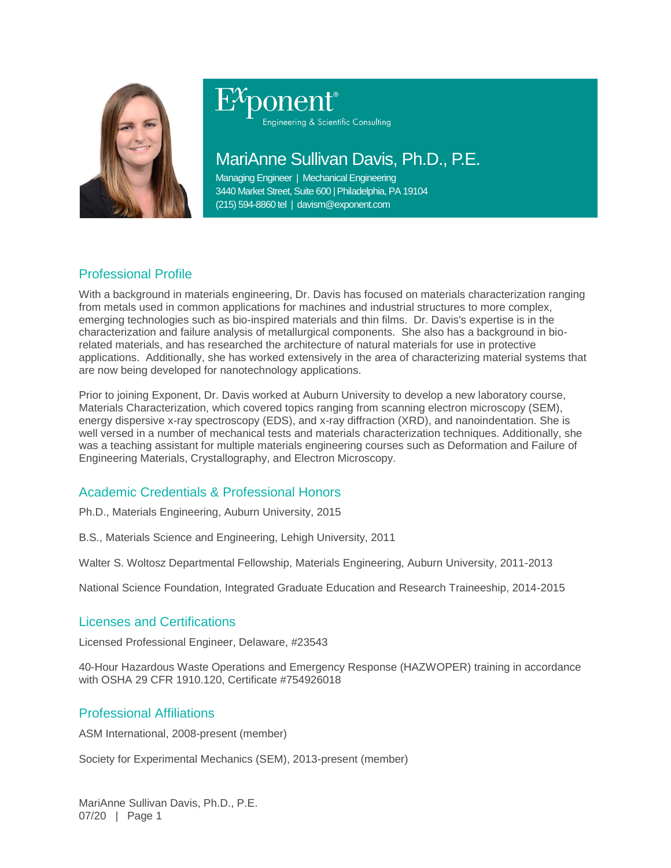

# Engineering & Scientific Consulting

# MariAnne Sullivan Davis, Ph.D., P.E.

Managing Engineer | Mechanical Engineering 3440 Market Street, Suite 600 | Philadelphia, PA 19104 (215) 594-8860 tel | davism@exponent.com

## Professional Profile

With a background in materials engineering, Dr. Davis has focused on materials characterization ranging from metals used in common applications for machines and industrial structures to more complex, emerging technologies such as bio-inspired materials and thin films. Dr. Davis's expertise is in the characterization and failure analysis of metallurgical components. She also has a background in biorelated materials, and has researched the architecture of natural materials for use in protective applications. Additionally, she has worked extensively in the area of characterizing material systems that are now being developed for nanotechnology applications.

Prior to joining Exponent, Dr. Davis worked at Auburn University to develop a new laboratory course, Materials Characterization, which covered topics ranging from scanning electron microscopy (SEM), energy dispersive x-ray spectroscopy (EDS), and x-ray diffraction (XRD), and nanoindentation. She is well versed in a number of mechanical tests and materials characterization techniques. Additionally, she was a teaching assistant for multiple materials engineering courses such as Deformation and Failure of Engineering Materials, Crystallography, and Electron Microscopy.

### Academic Credentials & Professional Honors

Ph.D., Materials Engineering, Auburn University, 2015

B.S., Materials Science and Engineering, Lehigh University, 2011

Walter S. Woltosz Departmental Fellowship, Materials Engineering, Auburn University, 2011-2013

National Science Foundation, Integrated Graduate Education and Research Traineeship, 2014-2015

#### Licenses and Certifications

Licensed Professional Engineer, Delaware, #23543

40-Hour Hazardous Waste Operations and Emergency Response (HAZWOPER) training in accordance with OSHA 29 CFR 1910.120, Certificate #754926018

#### Professional Affiliations

ASM International, 2008-present (member)

Society for Experimental Mechanics (SEM), 2013-present (member)

MariAnne Sullivan Davis, Ph.D., P.E. 07/20 | Page 1